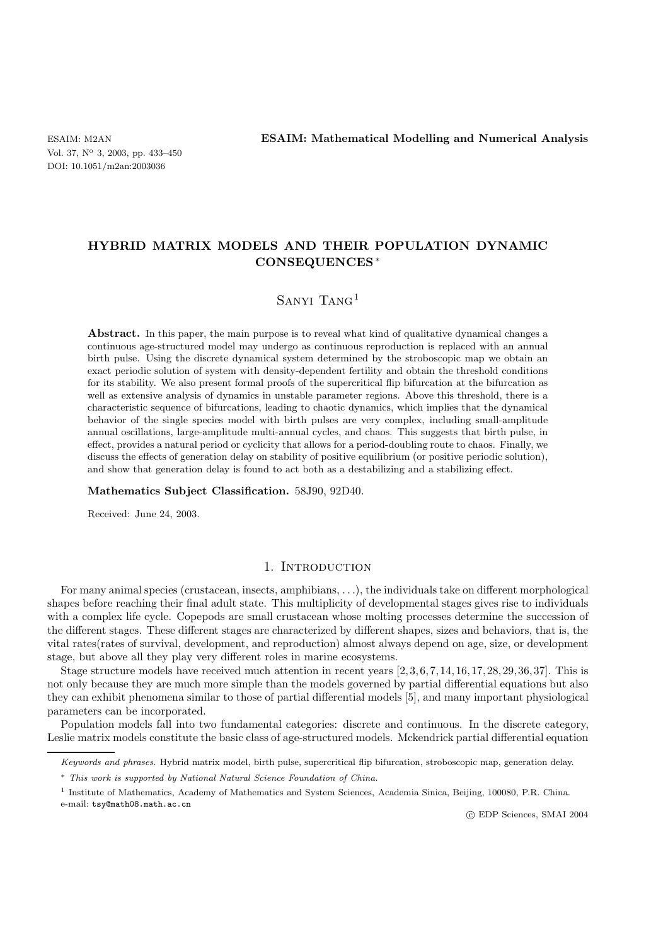Vol. 37, N<sup>o</sup> 3, 2003, pp. 433–450 DOI: 10.1051/m2an:2003036

ESAIM: M2AN **ESAIM: Mathematical Modelling and Numerical Analysis**

# **HYBRID MATRIX MODELS AND THEIR POPULATION DYNAMIC CONSEQUENCES**∗

# Sanyi Tang<sup>1</sup>

Abstract. In this paper, the main purpose is to reveal what kind of qualitative dynamical changes a continuous age-structured model may undergo as continuous reproduction is replaced with an annual birth pulse. Using the discrete dynamical system determined by the stroboscopic map we obtain an exact periodic solution of system with density-dependent fertility and obtain the threshold conditions for its stability. We also present formal proofs of the supercritical flip bifurcation at the bifurcation as well as extensive analysis of dynamics in unstable parameter regions. Above this threshold, there is a characteristic sequence of bifurcations, leading to chaotic dynamics, which implies that the dynamical behavior of the single species model with birth pulses are very complex, including small-amplitude annual oscillations, large-amplitude multi-annual cycles, and chaos. This suggests that birth pulse, in effect, provides a natural period or cyclicity that allows for a period-doubling route to chaos. Finally, we discuss the effects of generation delay on stability of positive equilibrium (or positive periodic solution), and show that generation delay is found to act both as a destabilizing and a stabilizing effect.

### **Mathematics Subject Classification.** 58J90, 92D40.

Received: June 24, 2003.

# 1. INTRODUCTION

For many animal species (crustacean, insects, amphibians, ...), the individuals take on different morphological shapes before reaching their final adult state. This multiplicity of developmental stages gives rise to individuals with a complex life cycle. Copepods are small crustacean whose molting processes determine the succession of the different stages. These different stages are characterized by different shapes, sizes and behaviors, that is, the vital rates(rates of survival, development, and reproduction) almost always depend on age, size, or development stage, but above all they play very different roles in marine ecosystems.

Stage structure models have received much attention in recent years [2, 3, 6, 7, 14, 16, 17, 28, 29, 36, 37]. This is not only because they are much more simple than the models governed by partial differential equations but also they can exhibit phenomena similar to those of partial differential models [5], and many important physiological parameters can be incorporated.

Population models fall into two fundamental categories: discrete and continuous. In the discrete category, Leslie matrix models constitute the basic class of age-structured models. Mckendrick partial differential equation

-c EDP Sciences, SMAI 2004

Keywords and phrases. Hybrid matrix model, birth pulse, supercritical flip bifurcation, stroboscopic map, generation delay.

<sup>∗</sup> This work is supported by National Natural Science Foundation of China.

<sup>1</sup> Institute of Mathematics, Academy of Mathematics and System Sciences, Academia Sinica, Beijing, 100080, P.R. China. e-mail: tsy@math08.math.ac.cn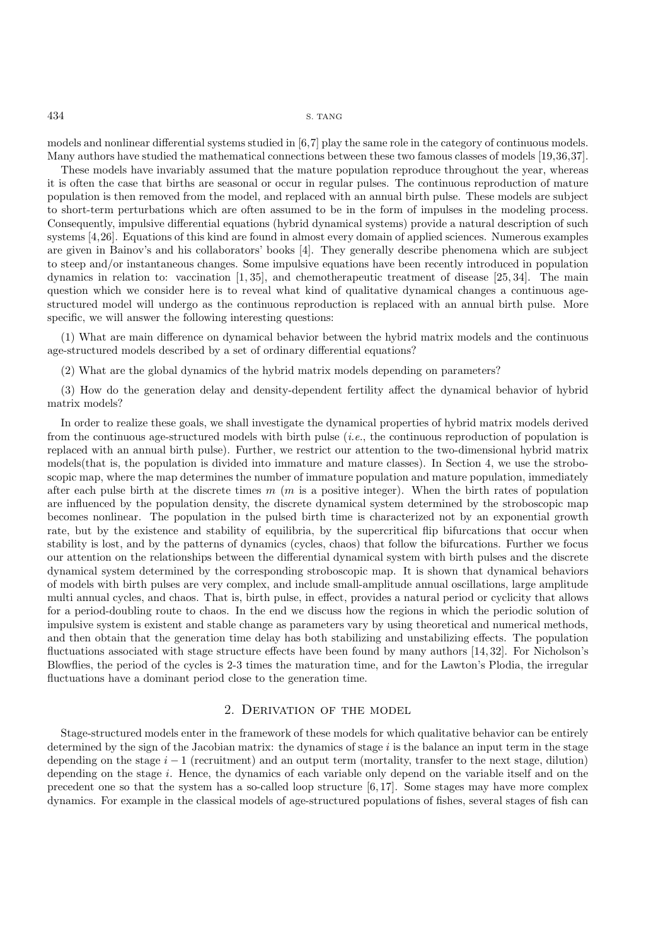models and nonlinear differential systems studied in [6,7] play the same role in the category of continuous models. Many authors have studied the mathematical connections between these two famous classes of models [19,36,37].

These models have invariably assumed that the mature population reproduce throughout the year, whereas it is often the case that births are seasonal or occur in regular pulses. The continuous reproduction of mature population is then removed from the model, and replaced with an annual birth pulse. These models are subject to short-term perturbations which are often assumed to be in the form of impulses in the modeling process. Consequently, impulsive differential equations (hybrid dynamical systems) provide a natural description of such systems [4,26]. Equations of this kind are found in almost every domain of applied sciences. Numerous examples are given in Bainov's and his collaborators' books [4]. They generally describe phenomena which are subject to steep and/or instantaneous changes. Some impulsive equations have been recently introduced in population dynamics in relation to: vaccination [1, 35], and chemotherapeutic treatment of disease [25, 34]. The main question which we consider here is to reveal what kind of qualitative dynamical changes a continuous agestructured model will undergo as the continuous reproduction is replaced with an annual birth pulse. More specific, we will answer the following interesting questions:

(1) What are main difference on dynamical behavior between the hybrid matrix models and the continuous age-structured models described by a set of ordinary differential equations?

(2) What are the global dynamics of the hybrid matrix models depending on parameters?

(3) How do the generation delay and density-dependent fertility affect the dynamical behavior of hybrid matrix models?

In order to realize these goals, we shall investigate the dynamical properties of hybrid matrix models derived from the continuous age-structured models with birth pulse (*i.e.*, the continuous reproduction of population is replaced with an annual birth pulse). Further, we restrict our attention to the two-dimensional hybrid matrix models(that is, the population is divided into immature and mature classes). In Section 4, we use the stroboscopic map, where the map determines the number of immature population and mature population, immediately after each pulse birth at the discrete times  $m$  (m is a positive integer). When the birth rates of population are influenced by the population density, the discrete dynamical system determined by the stroboscopic map becomes nonlinear. The population in the pulsed birth time is characterized not by an exponential growth rate, but by the existence and stability of equilibria, by the supercritical flip bifurcations that occur when stability is lost, and by the patterns of dynamics (cycles, chaos) that follow the bifurcations. Further we focus our attention on the relationships between the differential dynamical system with birth pulses and the discrete dynamical system determined by the corresponding stroboscopic map. It is shown that dynamical behaviors of models with birth pulses are very complex, and include small-amplitude annual oscillations, large amplitude multi annual cycles, and chaos. That is, birth pulse, in effect, provides a natural period or cyclicity that allows for a period-doubling route to chaos. In the end we discuss how the regions in which the periodic solution of impulsive system is existent and stable change as parameters vary by using theoretical and numerical methods, and then obtain that the generation time delay has both stabilizing and unstabilizing effects. The population fluctuations associated with stage structure effects have been found by many authors [14, 32]. For Nicholson's Blowflies, the period of the cycles is 2-3 times the maturation time, and for the Lawton's Plodia, the irregular fluctuations have a dominant period close to the generation time.

# 2. Derivation of the model

Stage-structured models enter in the framework of these models for which qualitative behavior can be entirely determined by the sign of the Jacobian matrix: the dynamics of stage  $i$  is the balance an input term in the stage depending on the stage  $i - 1$  (recruitment) and an output term (mortality, transfer to the next stage, dilution) depending on the stage i. Hence, the dynamics of each variable only depend on the variable itself and on the precedent one so that the system has a so-called loop structure [6, 17]. Some stages may have more complex dynamics. For example in the classical models of age-structured populations of fishes, several stages of fish can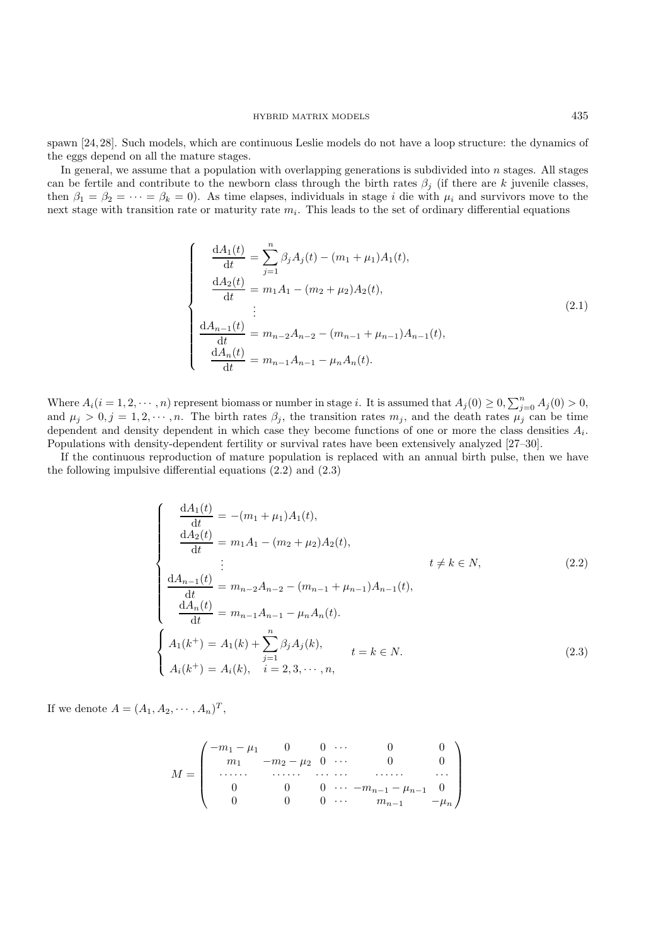spawn [24, 28]. Such models, which are continuous Leslie models do not have a loop structure: the dynamics of the eggs depend on all the mature stages.

In general, we assume that a population with overlapping generations is subdivided into  $n$  stages. All stages can be fertile and contribute to the newborn class through the birth rates  $\beta_i$  (if there are k juvenile classes, then  $\beta_1 = \beta_2 = \cdots = \beta_k = 0$ . As time elapses, individuals in stage i die with  $\mu_i$  and survivors move to the next stage with transition rate or maturity rate  $m<sub>i</sub>$ . This leads to the set of ordinary differential equations

$$
\begin{cases}\n\frac{dA_1(t)}{dt} = \sum_{j=1}^n \beta_j A_j(t) - (m_1 + \mu_1) A_1(t), \\
\frac{dA_2(t)}{dt} = m_1 A_1 - (m_2 + \mu_2) A_2(t), \\
\vdots \\
\frac{dA_{n-1}(t)}{dt} = m_{n-2} A_{n-2} - (m_{n-1} + \mu_{n-1}) A_{n-1}(t), \\
\frac{dA_n(t)}{dt} = m_{n-1} A_{n-1} - \mu_n A_n(t).\n\end{cases} (2.1)
$$

Where  $A_i(i = 1, 2, \dots, n)$  represent biomass or number in stage i. It is assumed that  $A_j(0) \ge 0, \sum_{j=0}^n A_j(0) > 0$ , and  $\mu_i > 0$  i  $-1, 2, \dots, n$ . The birth rates  $\beta_i$ , the transition rates  $m_i$ , and the death rates  $\mu_i$  ca and  $\mu_j > 0, j = 1, 2, \dots, n$ . The birth rates  $\beta_j$ , the transition rates  $m_j$ , and the death rates  $\mu_j$  can be time<br>dependent and density dependent in which case they become functions of one or more the class densities  $\Lambda$ dependent and density dependent in which case they become functions of one or more the class densities  $A_i$ . Populations with density-dependent fertility or survival rates have been extensively analyzed [27–30].

If the continuous reproduction of mature population is replaced with an annual birth pulse, then we have the following impulsive differential equations (2.2) and (2.3)

$$
\begin{cases}\n\frac{dA_1(t)}{dt} = -(m_1 + \mu_1)A_1(t), \n\frac{dA_2(t)}{dt} = m_1A_1 - (m_2 + \mu_2)A_2(t), \n\vdots \n\frac{dA_{n-1}(t)}{dt} = m_{n-2}A_{n-2} - (m_{n-1} + \mu_{n-1})A_{n-1}(t), \n\frac{dA_n(t)}{dt} = m_{n-1}A_{n-1} - \mu_nA_n(t). \n\begin{cases}\nA_1(k^+) = A_1(k) + \sum_{j=1}^n \beta_j A_j(k), & t = k \in N. \\
A_i(k^+) = A_i(k), & i = 2, 3, \dots, n,\n\end{cases}
$$
\n(2.3)

If we denote  $A = (A_1, A_2, \cdots, A_n)^T$ ,

$$
M = \begin{pmatrix} -m_1 - \mu_1 & 0 & 0 & \cdots & 0 & 0 \\ m_1 & -m_2 - \mu_2 & 0 & \cdots & 0 & 0 \\ \cdots & \cdots & \cdots & \cdots & \cdots & \cdots & \cdots \\ 0 & 0 & 0 & \cdots & -m_{n-1} - \mu_{n-1} & 0 \\ 0 & 0 & 0 & \cdots & m_{n-1} & -\mu_n \end{pmatrix}
$$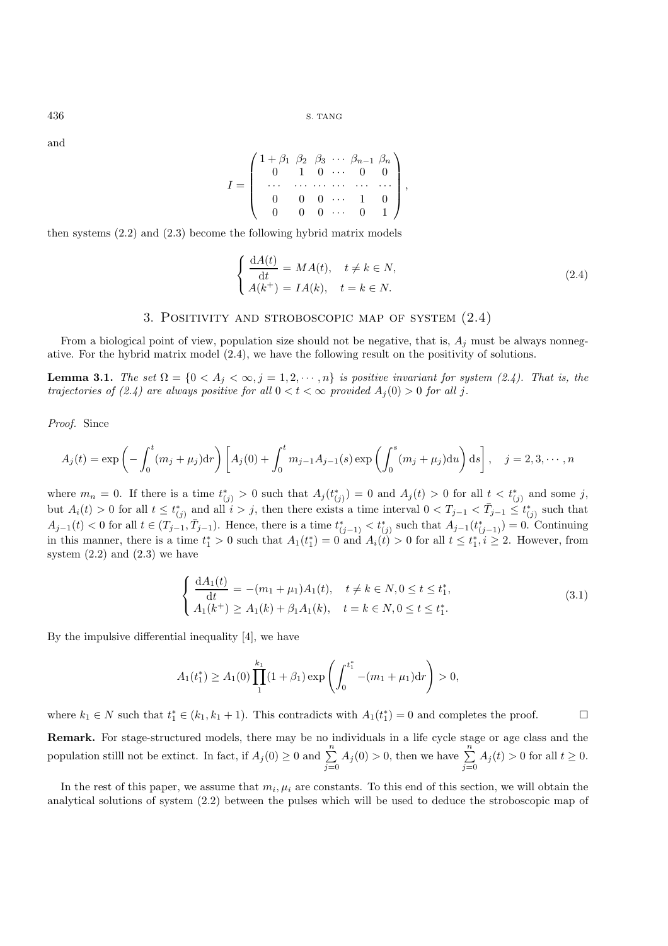and

$$
I = \begin{pmatrix} 1+\beta_1 & \beta_2 & \beta_3 & \cdots & \beta_{n-1} & \beta_n \\ 0 & 1 & 0 & \cdots & 0 & 0 \\ \cdots & \cdots & \cdots & \cdots & \cdots & \cdots \\ 0 & 0 & 0 & \cdots & 1 & 0 \\ 0 & 0 & 0 & \cdots & 0 & 1 \end{pmatrix},
$$

then systems (2.2) and (2.3) become the following hybrid matrix models

$$
\begin{cases}\n\frac{\mathrm{d}A(t)}{\mathrm{d}t} = MA(t), & t \neq k \in N, \\
A(k^+) = IA(k), & t = k \in N.\n\end{cases}
$$
\n(2.4)

# 3. Positivity and stroboscopic map of system (2.4)

From a biological point of view, population size should not be negative, that is,  $A_j$  must be always nonnegative. For the hybrid matrix model (2.4), we have the following result on the positivity of solutions.

**Lemma 3.1.** *The set*  $\Omega = \{0 \le A_j \le \infty, j = 1, 2, \cdots, n\}$  *is positive invariant for system (2.4). That is, the trajectories of (2.4) are always positive for all*  $0 < t < \infty$  *provided*  $A_i(0) > 0$  *for all j*.

*Proof.* Since

$$
A_j(t) = \exp\left(-\int_0^t (m_j + \mu_j) dr\right) \left[A_j(0) + \int_0^t m_{j-1} A_{j-1}(s) \exp\left(\int_0^s (m_j + \mu_j) du\right) ds\right], \quad j = 2, 3, \cdots, n
$$

where  $m_n = 0$ . If there is a time  $t_{(j)}^* > 0$  such that  $A_j(t_{(j)}) = 0$  and  $A_j(t) > 0$  for all  $t < t_{(j)}^*$  and some j, but  $A_i(t) > 0$  for all  $t \le t_{(j)}^*$  and all  $i > j$ , then there exists a time interval  $0 < T_{j-1} < \bar{T}_{j-1} \le t_{(j)}^*$  such that  $A_{j-1}(t) < 0$  for all  $t \in (T_{j-1}, \bar{T}_{j-1})$ . Hence, there is a time  $t_{(j-1)}^* < t_{(j)}^*$  such that  $A_{j-1}(t_{(j-1)}^*) = 0$ . Continuing in this manner, there is a time  $t_1^* > 0$  such that  $A_1(t_1^*) = 0$  and  $A_i(t) > 0$  for all  $t \le t_1^*, i \ge 2$ . However, from system  $(2.2)$  and  $(2.3)$  we have

$$
\begin{cases}\n\frac{dA_1(t)}{dt} = -(m_1 + \mu_1)A_1(t), & t \neq k \in N, 0 \leq t \leq t_1^*, \\
A_1(k^+) \geq A_1(k) + \beta_1 A_1(k), & t = k \in N, 0 \leq t \leq t_1^*.\n\end{cases}
$$
\n(3.1)

By the impulsive differential inequality [4], we have

$$
A_1(t_1^*) \ge A_1(0) \prod_1^{k_1} (1 + \beta_1) \exp \left( \int_0^{t_1^*} -(m_1 + \mu_1) dr \right) > 0,
$$

where  $k_1 \in N$  such that  $t_1^* \in (k_1, k_1 + 1)$ . This contradicts with  $A_1(t_1^*) = 0$  and completes the proof.

**Remark.** For stage-structured models, there may be no individuals in a life cycle stage or age class and the population stilll not be extinct. In fact, if  $A_j(0) \ge 0$  and  $\sum_{j=0}^n A_j(0) > 0$ , then we have  $\sum_{j=0}^n A_j(t) > 0$  for all  $t \ge 0$ .

In the rest of this paper, we assume that  $m_i, \mu_i$  are constants. To this end of this section, we will obtain the analytical solutions of system (2.2) between the pulses which will be used to deduce the stroboscopic map of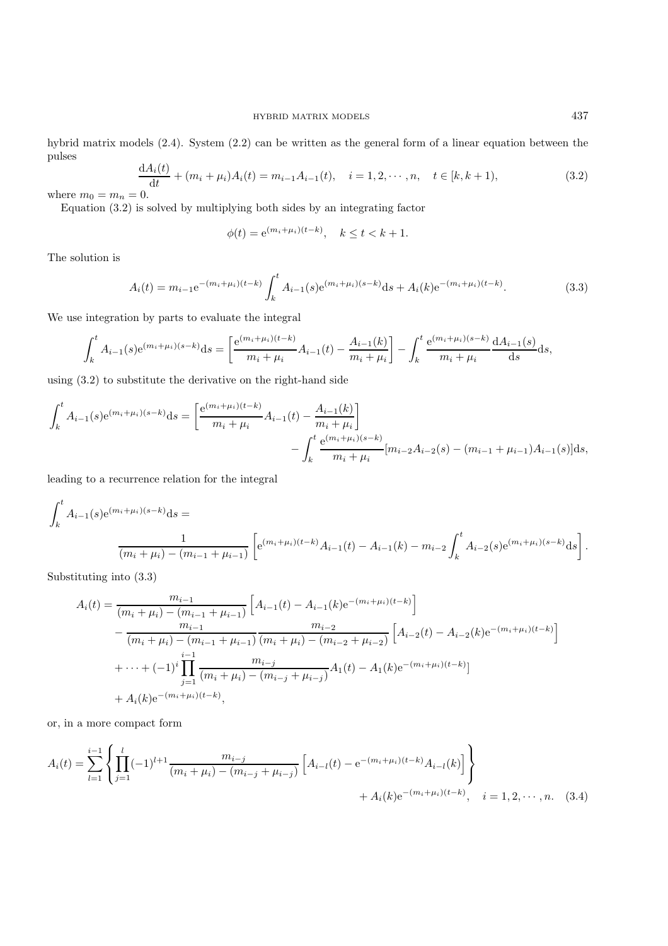hybrid matrix models (2.4). System (2.2) can be written as the general form of a linear equation between the pulses  $\frac{1}{1}$   $\frac{1}{1}$ 

$$
\frac{dA_i(t)}{dt} + (m_i + \mu_i)A_i(t) = m_{i-1}A_{i-1}(t), \quad i = 1, 2, \cdots, n, \quad t \in [k, k+1),
$$
\n(3.2)

where  $m_0 = m_n = 0$ .

Equation (3.2) is solved by multiplying both sides by an integrating factor

$$
\phi(t) = e^{(m_i + \mu_i)(t - k)}, \quad k \le t < k + 1.
$$

The solution is

$$
A_i(t) = m_{i-1}e^{-(m_i + \mu_i)(t-k)} \int_k^t A_{i-1}(s)e^{(m_i + \mu_i)(s-k)}ds + A_i(k)e^{-(m_i + \mu_i)(t-k)}.
$$
 (3.3)

We use integration by parts to evaluate the integral

$$
\int_{k}^{t} A_{i-1}(s) e^{(m_{i} + \mu_{i})(s-k)} ds = \left[ \frac{e^{(m_{i} + \mu_{i})(t-k)}}{m_{i} + \mu_{i}} A_{i-1}(t) - \frac{A_{i-1}(k)}{m_{i} + \mu_{i}} \right] - \int_{k}^{t} \frac{e^{(m_{i} + \mu_{i})(s-k)}}{m_{i} + \mu_{i}} \frac{dA_{i-1}(s)}{ds} ds,
$$

using (3.2) to substitute the derivative on the right-hand side

$$
\int_{k}^{t} A_{i-1}(s)e^{(m_{i}+\mu_{i})(s-k)}ds = \left[\frac{e^{(m_{i}+\mu_{i})(t-k)}}{m_{i}+\mu_{i}}A_{i-1}(t) - \frac{A_{i-1}(k)}{m_{i}+\mu_{i}}\right] - \int_{k}^{t} \frac{e^{(m_{i}+\mu_{i})(s-k)}}{m_{i}+\mu_{i}}[m_{i-2}A_{i-2}(s) - (m_{i-1}+\mu_{i-1})A_{i-1}(s)]ds,
$$

leading to a recurrence relation for the integral

$$
\int_{k}^{t} A_{i-1}(s) e^{(m_{i} + \mu_{i})(s-k)} ds =
$$
\n
$$
\frac{1}{(m_{i} + \mu_{i}) - (m_{i-1} + \mu_{i-1})} \left[ e^{(m_{i} + \mu_{i})(t-k)} A_{i-1}(t) - A_{i-1}(k) - m_{i-2} \int_{k}^{t} A_{i-2}(s) e^{(m_{i} + \mu_{i})(s-k)} ds \right].
$$

Substituting into (3.3)

$$
A_i(t) = \frac{m_{i-1}}{(m_i + \mu_i) - (m_{i-1} + \mu_{i-1})} \left[ A_{i-1}(t) - A_{i-1}(k)e^{-(m_i + \mu_i)(t-k)} \right]
$$
  

$$
- \frac{m_{i-1}}{(m_i + \mu_i) - (m_{i-1} + \mu_{i-1})} \frac{m_{i-2}}{(m_i + \mu_i) - (m_{i-2} + \mu_{i-2})} \left[ A_{i-2}(t) - A_{i-2}(k)e^{-(m_i + \mu_i)(t-k)} \right]
$$
  

$$
+ \cdots + (-1)^i \prod_{j=1}^{i-1} \frac{m_{i-j}}{(m_i + \mu_i) - (m_{i-j} + \mu_{i-j})} A_1(t) - A_1(k)e^{-(m_i + \mu_i)(t-k)}]
$$
  

$$
+ A_i(k)e^{-(m_i + \mu_i)(t-k)},
$$

or, in a more compact form

$$
A_i(t) = \sum_{l=1}^{i-1} \left\{ \prod_{j=1}^l (-1)^{l+1} \frac{m_{i-j}}{(m_i + \mu_i) - (m_{i-j} + \mu_{i-j})} \left[ A_{i-l}(t) - e^{-(m_i + \mu_i)(t-k)} A_{i-l}(k) \right] \right\}
$$
  
+  $A_i(k) e^{-(m_i + \mu_i)(t-k)}, \quad i = 1, 2, \dots, n.$  (3.4)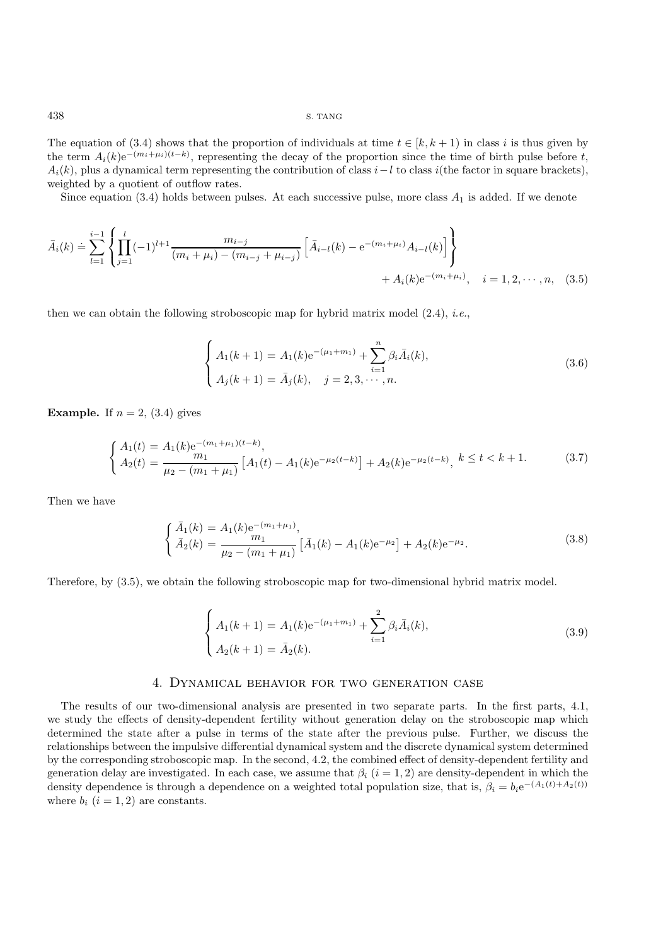The equation of (3.4) shows that the proportion of individuals at time  $t \in [k, k + 1)$  in class i is thus given by the term  $A_i(k)e^{-(m_i+\mu_i)(t-k)}$ , representing the decay of the proportion since the time of birth pulse before t,  $A_i(k)$ , plus a dynamical term representing the contribution of class  $i-l$  to class  $i$ (the factor in square brackets), weighted by a quotient of outflow rates.

Since equation  $(3.4)$  holds between pulses. At each successive pulse, more class  $A_1$  is added. If we denote

$$
\bar{A}_i(k) \doteq \sum_{l=1}^{i-1} \left\{ \prod_{j=1}^l (-1)^{l+1} \frac{m_{i-j}}{(m_i + \mu_i) - (m_{i-j} + \mu_{i-j})} \left[ \bar{A}_{i-l}(k) - e^{-(m_i + \mu_i)} A_{i-l}(k) \right] \right\}
$$
\n
$$
+ A_i(k) e^{-(m_i + \mu_i)}, \quad i = 1, 2, \cdots, n, \quad (3.5)
$$

then we can obtain the following stroboscopic map for hybrid matrix model (2.4), *i.e.*,

$$
\begin{cases}\nA_1(k+1) = A_1(k)e^{-(\mu_1 + m_1)} + \sum_{i=1}^n \beta_i \bar{A}_i(k), \\
A_j(k+1) = \bar{A}_j(k), \quad j = 2, 3, \cdots, n.\n\end{cases}
$$
\n(3.6)

**Example.** If  $n = 2$ , (3.4) gives

$$
\begin{cases} A_1(t) = A_1(k)e^{-(m_1+\mu_1)(t-k)}, \\ A_2(t) = \frac{m_1}{\mu_2 - (m_1+\mu_1)} \left[ A_1(t) - A_1(k)e^{-\mu_2(t-k)} \right] + A_2(k)e^{-\mu_2(t-k)}, \ k \le t < k+1. \end{cases} \tag{3.7}
$$

Then we have

$$
\begin{cases}\n\bar{A}_1(k) = A_1(k)e^{-(m_1 + \mu_1)},\\ \bar{A}_2(k) = \frac{m_1}{\mu_2 - (m_1 + \mu_1)} \left[ \bar{A}_1(k) - A_1(k)e^{-\mu_2} \right] + A_2(k)e^{-\mu_2}.\n\end{cases}
$$
\n(3.8)

Therefore, by (3.5), we obtain the following stroboscopic map for two-dimensional hybrid matrix model.

$$
\begin{cases}\nA_1(k+1) = A_1(k)e^{-(\mu_1 + m_1)} + \sum_{i=1}^2 \beta_i \bar{A}_i(k), \\
A_2(k+1) = \bar{A}_2(k).\n\end{cases}
$$
\n(3.9)

## 4. Dynamical behavior for two generation case

The results of our two-dimensional analysis are presented in two separate parts. In the first parts, 4.1, we study the effects of density-dependent fertility without generation delay on the stroboscopic map which determined the state after a pulse in terms of the state after the previous pulse. Further, we discuss the relationships between the impulsive differential dynamical system and the discrete dynamical system determined by the corresponding stroboscopic map. In the second, 4.2, the combined effect of density-dependent fertility and generation delay are investigated. In each case, we assume that  $\beta_i$  (i = 1, 2) are density-dependent in which the density dependence is through a dependence on a weighted total population size, that is,  $\beta_i = b_i e^{-(A_1(t) + A_2(t))}$ where  $b_i$   $(i = 1, 2)$  are constants.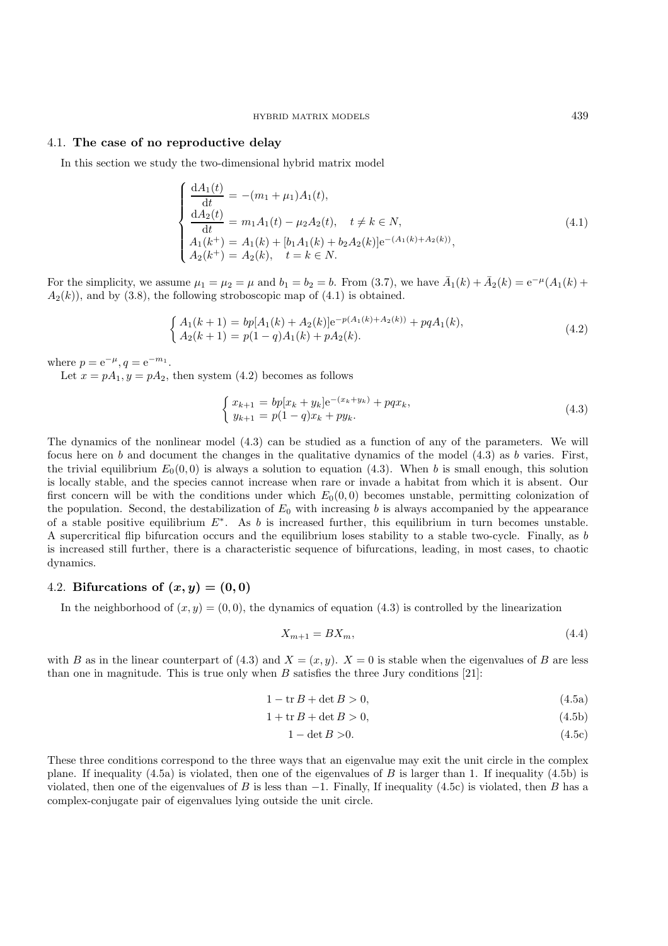### 4.1. **The case of no reproductive delay**

In this section we study the two-dimensional hybrid matrix model

$$
\begin{cases}\n\frac{dA_1(t)}{dt} = -(m_1 + \mu_1)A_1(t), \n\frac{dA_2(t)}{dt} = m_1A_1(t) - \mu_2A_2(t), \quad t \neq k \in N, \nA_1(k^+) = A_1(k) + [b_1A_1(k) + b_2A_2(k)]e^{-(A_1(k) + A_2(k))}, \nA_2(k^+) = A_2(k), \quad t = k \in N.\n\end{cases}
$$
\n(4.1)

For the simplicity, we assume  $\mu_1 = \mu_2 = \mu$  and  $b_1 = b_2 = b$ . From (3.7), we have  $\bar{A}_1(k) + \bar{A}_2(k) = e^{-\mu}(A_1(k) +$  $A_2(k)$ , and by (3.8), the following stroboscopic map of (4.1) is obtained.

$$
\begin{cases} A_1(k+1) = bp[A_1(k) + A_2(k)]e^{-p(A_1(k) + A_2(k))} + pqA_1(k), \\ A_2(k+1) = p(1-q)A_1(k) + pA_2(k). \end{cases} (4.2)
$$

where  $p = e^{-\mu}, q = e^{-m_1}$ .

Let  $x = pA_1, y = pA_2$ , then system (4.2) becomes as follows

$$
\begin{cases} x_{k+1} = bp[x_k + y_k]e^{-(x_k + y_k)} + pqx_k, \\ y_{k+1} = p(1-q)x_k + py_k. \end{cases} \tag{4.3}
$$

The dynamics of the nonlinear model (4.3) can be studied as a function of any of the parameters. We will focus here on b and document the changes in the qualitative dynamics of the model  $(4.3)$  as b varies. First, the trivial equilibrium  $E_0(0, 0)$  is always a solution to equation (4.3). When b is small enough, this solution is locally stable, and the species cannot increase when rare or invade a habitat from which it is absent. Our first concern will be with the conditions under which  $E_0(0,0)$  becomes unstable, permitting colonization of the population. Second, the destabilization of  $E_0$  with increasing b is always accompanied by the appearance of a stable positive equilibrium  $E^*$ . As b is increased further, this equilibrium in turn becomes unstable. A supercritical flip bifurcation occurs and the equilibrium loses stability to a stable two-cycle. Finally, as b is increased still further, there is a characteristic sequence of bifurcations, leading, in most cases, to chaotic dynamics.

# 4.2. **Bifurcations of**  $(x, y) = (0, 0)$

In the neighborhood of  $(x, y) = (0, 0)$ , the dynamics of equation (4.3) is controlled by the linearization

$$
X_{m+1} = BX_m,\tag{4.4}
$$

with B as in the linear counterpart of (4.3) and  $X = (x, y)$ .  $X = 0$  is stable when the eigenvalues of B are less than one in magnitude. This is true only when B satisfies the three Jury conditions [21]:

$$
1 - \operatorname{tr} B + \det B > 0,\tag{4.5a}
$$

$$
1 + \operatorname{tr} B + \det B > 0,\tag{4.5b}
$$

$$
1 - \det B > 0. \tag{4.5c}
$$

These three conditions correspond to the three ways that an eigenvalue may exit the unit circle in the complex plane. If inequality  $(4.5a)$  is violated, then one of the eigenvalues of B is larger than 1. If inequality  $(4.5b)$  is violated, then one of the eigenvalues of B is less than  $-1$ . Finally, If inequality (4.5c) is violated, then B has a complex-conjugate pair of eigenvalues lying outside the unit circle.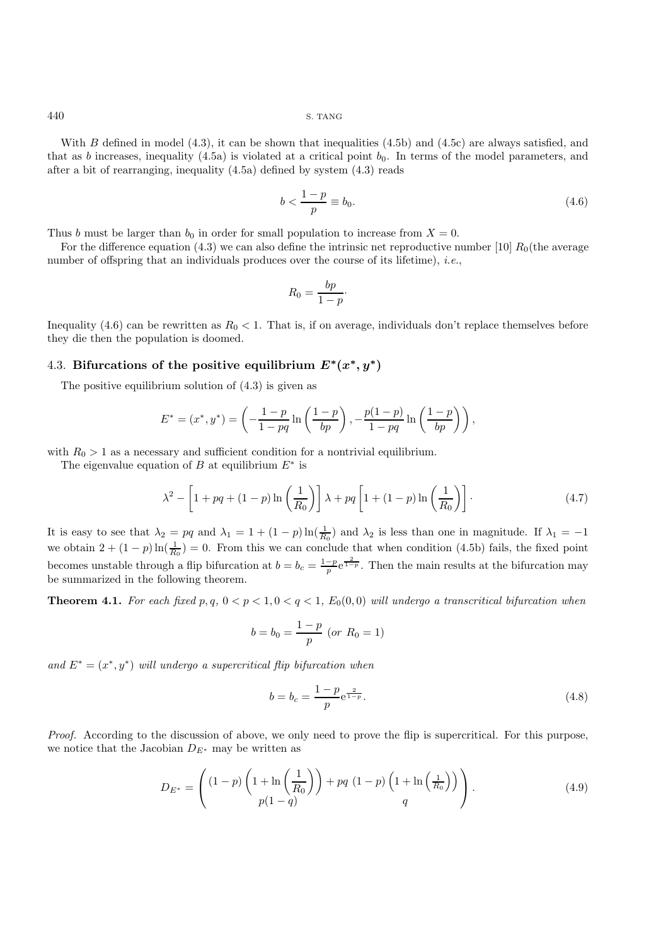With  $B$  defined in model  $(4.3)$ , it can be shown that inequalities  $(4.5b)$  and  $(4.5c)$  are always satisfied, and that as b increases, inequality (4.5a) is violated at a critical point  $b_0$ . In terms of the model parameters, and after a bit of rearranging, inequality (4.5a) defined by system (4.3) reads

$$
b < \frac{1-p}{p} \equiv b_0. \tag{4.6}
$$

Thus b must be larger than  $b_0$  in order for small population to increase from  $X = 0$ .

For the difference equation (4.3) we can also define the intrinsic net reproductive number [10]  $R_0$ (the average number of offspring that an individuals produces over the course of its lifetime), *i.e.*,

$$
R_0 = \frac{bp}{1-p}.
$$

Inequality (4.6) can be rewritten as  $R_0 < 1$ . That is, if on average, individuals don't replace themselves before they die then the population is doomed.

# 4.3. **Bifurcations of the positive equilibrium**  $E^*(x^*, y^*)$

The positive equilibrium solution of (4.3) is given as

$$
E^* = (x^*, y^*) = \left(-\frac{1-p}{1-pq} \ln \left(\frac{1-p}{bp}\right), -\frac{p(1-p)}{1-pq} \ln \left(\frac{1-p}{bp}\right)\right),\,
$$

with  $R_0 > 1$  as a necessary and sufficient condition for a nontrivial equilibrium.

The eigenvalue equation of B at equilibrium  $E^*$  is

$$
\lambda^2 - \left[1 + pq + (1 - p)\ln\left(\frac{1}{R_0}\right)\right]\lambda + pq\left[1 + (1 - p)\ln\left(\frac{1}{R_0}\right)\right].
$$
\n(4.7)

It is easy to see that  $\lambda_2 = pq$  and  $\lambda_1 = 1 + (1 - p) \ln(\frac{1}{R_0})$  and  $\lambda_2$  is less than one in magnitude. If  $\lambda_1 = -1$ we obtain  $2 + (1 - p) \ln(\frac{1}{R_0}) = 0$ . From this we can conclude that when condition (4.5b) fails, the fixed point becomes unstable through a flip bifurcation at  $b = b_c = \frac{1-p}{p} e^{\frac{2}{1-p}}$ . Then the main results at the bifurcation may be summarized in the following theorem.

**Theorem 4.1.** For each fixed p, q,  $0 < p < 1, 0 < q < 1$ ,  $E_0(0, 0)$  will undergo a transcritical bifurcation when

$$
b = b_0 = \frac{1-p}{p} \text{ (or } R_0 = 1\text{)}
$$

*and*  $E^* = (x^*, y^*)$  *will undergo a supercritical flip bifurcation when* 

$$
b = b_c = \frac{1 - p}{p} e^{\frac{2}{1 - p}}.
$$
\n(4.8)

*Proof.* According to the discussion of above, we only need to prove the flip is supercritical. For this purpose, we notice that the Jacobian  $D_{E^*}$  may be written as

$$
D_{E^*} = \left( \frac{(1-p)\left(1+\ln\left(\frac{1}{R_0}\right)\right) + pq\left(1-p\right)\left(1+\ln\left(\frac{1}{R_0}\right)\right)}{p(1-q)}\right). \tag{4.9}
$$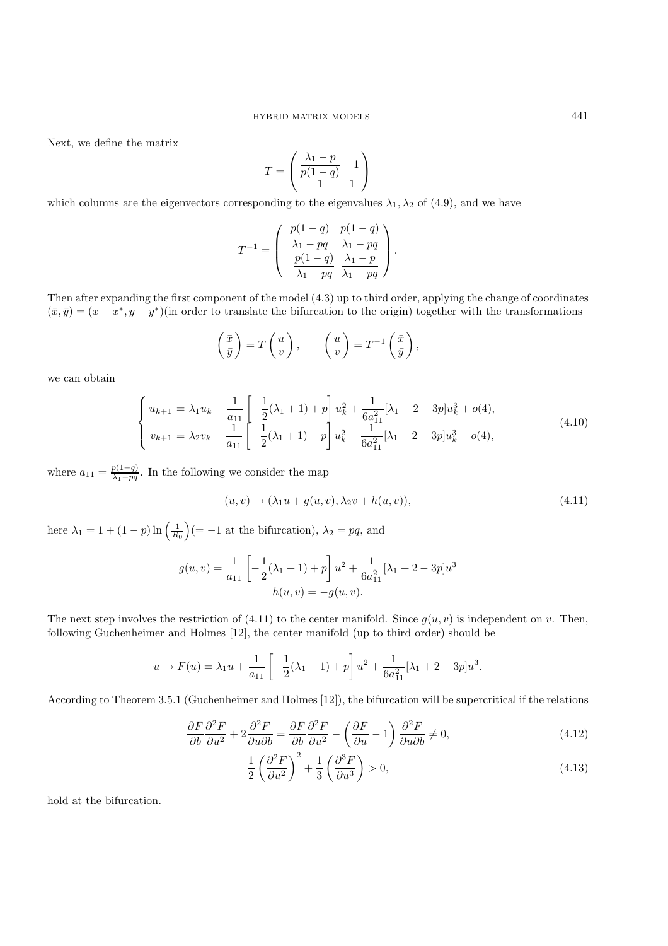Next, we define the matrix

$$
T = \begin{pmatrix} \frac{\lambda_1 - p}{p(1 - q)} & -1 \\ 1 & 1 \end{pmatrix}
$$

which columns are the eigenvectors corresponding to the eigenvalues  $\lambda_1, \lambda_2$  of (4.9), and we have

$$
T^{-1} = \begin{pmatrix} \frac{p(1-q)}{\lambda_1 - pq} & \frac{p(1-q)}{\lambda_1 - pq} \\ -\frac{p(1-q)}{\lambda_1 - pq} & \frac{\lambda_1 - p}{\lambda_1 - pq} \end{pmatrix}.
$$

Then after expanding the first component of the model (4.3) up to third order, applying the change of coordinates  $(\bar{x}, \bar{y})=(x - x^*, y - y^*)$ (in order to translate the bifurcation to the origin) together with the transformations

$$
\begin{pmatrix} \bar{x} \\ \bar{y} \end{pmatrix} = T \begin{pmatrix} u \\ v \end{pmatrix}, \qquad \begin{pmatrix} u \\ v \end{pmatrix} = T^{-1} \begin{pmatrix} \bar{x} \\ \bar{y} \end{pmatrix},
$$

we can obtain

$$
\begin{cases}\nu_{k+1} = \lambda_1 u_k + \frac{1}{a_{11}} \left[ -\frac{1}{2} (\lambda_1 + 1) + p \right] u_k^2 + \frac{1}{6a_{11}^2} [\lambda_1 + 2 - 3p] u_k^3 + o(4), \\
v_{k+1} = \lambda_2 v_k - \frac{1}{a_{11}} \left[ -\frac{1}{2} (\lambda_1 + 1) + p \right] u_k^2 - \frac{1}{6a_{11}^2} [\lambda_1 + 2 - 3p] u_k^3 + o(4),\n\end{cases} (4.10)
$$

where  $a_{11} = \frac{p(1-q)}{\lambda_1 - pq}$ . In the following we consider the map

$$
(u,v) \rightarrow (\lambda_1 u + g(u,v), \lambda_2 v + h(u,v)), \tag{4.11}
$$

here  $\lambda_1 = 1 + (1 - p) \ln \left( \frac{1}{R_0} \right) (= -1$  at the bifurcation),  $\lambda_2 = pq$ , and

$$
g(u, v) = \frac{1}{a_{11}} \left[ -\frac{1}{2}(\lambda_1 + 1) + p \right] u^2 + \frac{1}{6a_{11}^2} [\lambda_1 + 2 - 3p] u^3
$$

$$
h(u, v) = -g(u, v).
$$

The next step involves the restriction of (4.11) to the center manifold. Since  $g(u, v)$  is independent on v. Then, following Guchenheimer and Holmes [12], the center manifold (up to third order) should be

$$
u \to F(u) = \lambda_1 u + \frac{1}{a_{11}} \left[ -\frac{1}{2}(\lambda_1 + 1) + p \right] u^2 + \frac{1}{6a_{11}^2} [\lambda_1 + 2 - 3p] u^3.
$$

According to Theorem 3.5.1 (Guchenheimer and Holmes [12]), the bifurcation will be supercritical if the relations

$$
\frac{\partial F}{\partial b} \frac{\partial^2 F}{\partial u^2} + 2 \frac{\partial^2 F}{\partial u \partial b} = \frac{\partial F}{\partial b} \frac{\partial^2 F}{\partial u^2} - \left(\frac{\partial F}{\partial u} - 1\right) \frac{\partial^2 F}{\partial u \partial b} \neq 0,
$$
\n(4.12)

$$
\frac{1}{2} \left( \frac{\partial^2 F}{\partial u^2} \right)^2 + \frac{1}{3} \left( \frac{\partial^3 F}{\partial u^3} \right) > 0,
$$
\n(4.13)

hold at the bifurcation.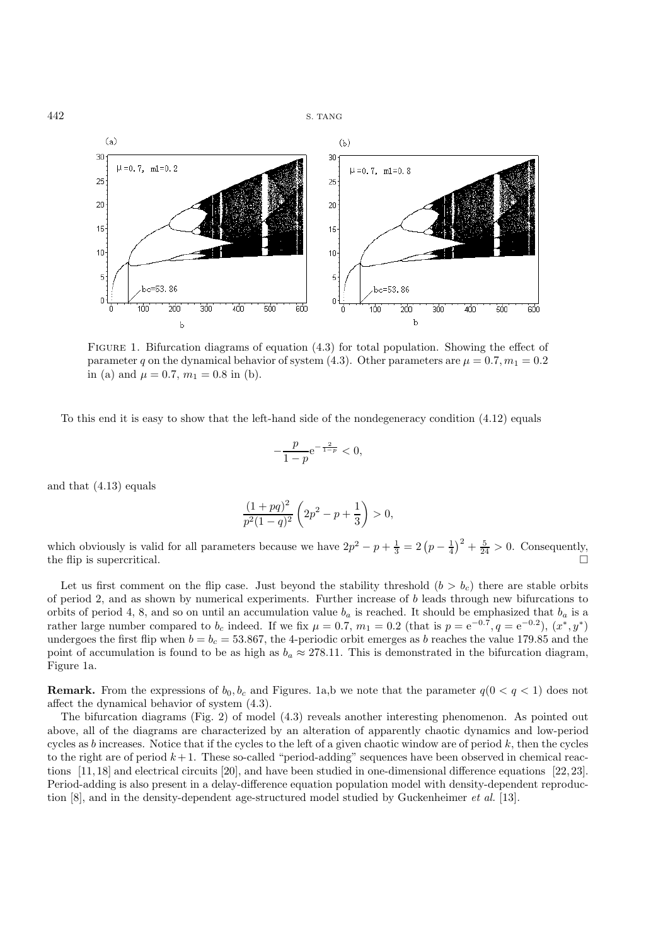442 S. TANG



FIGURE 1. Bifurcation diagrams of equation  $(4.3)$  for total population. Showing the effect of parameter q on the dynamical behavior of system (4.3). Other parameters are  $\mu = 0.7, m_1 = 0.2$ in (a) and  $\mu = 0.7$ ,  $m_1 = 0.8$  in (b).

To this end it is easy to show that the left-hand side of the nondegeneracy condition (4.12) equals

$$
-\frac{p}{1-p}e^{-\frac{2}{1-p}} < 0,
$$

and that (4.13) equals

$$
\frac{(1+pq)^2}{p^2(1-q)^2}\left(2p^2-p+\frac{1}{3}\right)>0,
$$

which obviously is valid for all parameters because we have  $2p^2 - p + \frac{1}{3} = 2(p - \frac{1}{4})^2 + \frac{5}{24} > 0$ . Consequently, the flip is supercritical.  $\Box$ 

Let us first comment on the flip case. Just beyond the stability threshold  $(b > b<sub>c</sub>)$  there are stable orbits of period 2, and as shown by numerical experiments. Further increase of b leads through new bifurcations to orbits of period 4, 8, and so on until an accumulation value  $b_a$  is reached. It should be emphasized that  $b_a$  is a rather large number compared to b<sub>c</sub> indeed. If we fix  $\mu = 0.7$ ,  $m_1 = 0.2$  (that is  $p = e^{-0.7}$ ,  $q = e^{-0.2}$ ),  $(x^*, y^*)$ undergoes the first flip when  $b = b_c = 53.867$ , the 4-periodic orbit emerges as b reaches the value 179.85 and the point of accumulation is found to be as high as  $b_a \approx 278.11$ . This is demonstrated in the bifurcation diagram, Figure 1a.

**Remark.** From the expressions of  $b_0$ ,  $b_c$  and Figures. 1a,b we note that the parameter  $q(0 < q < 1)$  does not affect the dynamical behavior of system (4.3).

The bifurcation diagrams (Fig. 2) of model (4.3) reveals another interesting phenomenon. As pointed out above, all of the diagrams are characterized by an alteration of apparently chaotic dynamics and low-period cycles as b increases. Notice that if the cycles to the left of a given chaotic window are of period  $k$ , then the cycles to the right are of period  $k+1$ . These so-called "period-adding" sequences have been observed in chemical reactions [11, 18] and electrical circuits [20], and have been studied in one-dimensional difference equations [22, 23]. Period-adding is also present in a delay-difference equation population model with density-dependent reproduction [8], and in the density-dependent age-structured model studied by Guckenheimer *et al.* [13].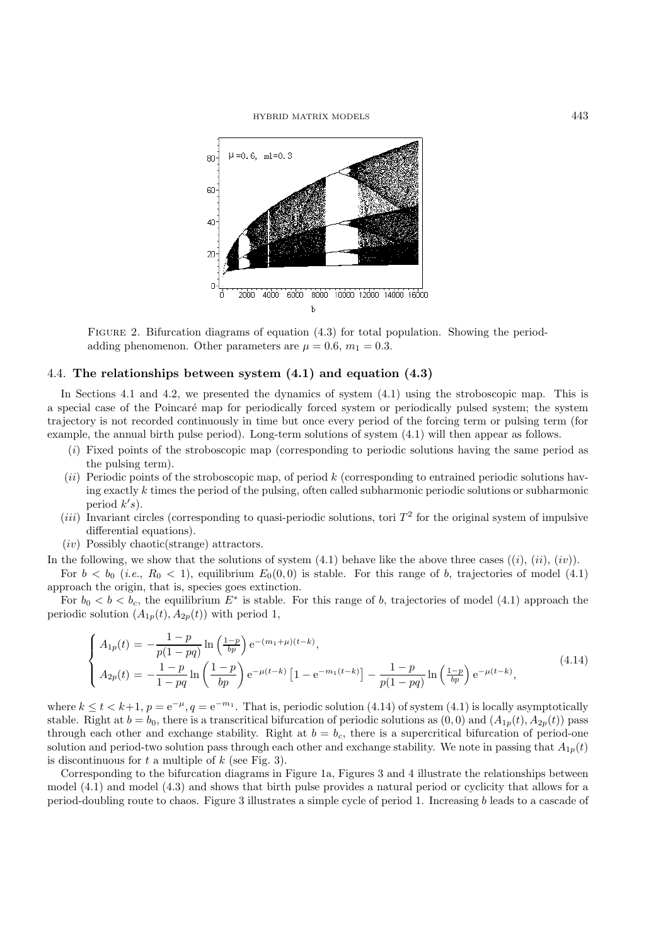HYBRID MATRIX MODELS 443



Figure 2. Bifurcation diagrams of equation (4.3) for total population. Showing the periodadding phenomenon. Other parameters are  $\mu = 0.6$ ,  $m_1 = 0.3$ .

# 4.4. **The relationships between system (4.1) and equation (4.3)**

In Sections 4.1 and 4.2, we presented the dynamics of system (4.1) using the stroboscopic map. This is a special case of the Poincaré map for periodically forced system or periodically pulsed system; the system trajectory is not recorded continuously in time but once every period of the forcing term or pulsing term (for example, the annual birth pulse period). Long-term solutions of system (4.1) will then appear as follows.

- (i) Fixed points of the stroboscopic map (corresponding to periodic solutions having the same period as the pulsing term).
- (ii) Periodic points of the stroboscopic map, of period  $k$  (corresponding to entrained periodic solutions having exactly k times the period of the pulsing, often called subharmonic periodic solutions or subharmonic period  $k's$ ).<br>Invariant ci
- (*iii*) Invariant circles (corresponding to quasi-periodic solutions, tori  $T<sup>2</sup>$  for the original system of impulsive differential equations).
- (iv) Possibly chaotic(strange) attractors.
- In the following, we show that the solutions of system  $(4.1)$  behave like the above three cases  $((i), (ii), (iv)).$

For  $b < b_0$  (*i.e.*,  $R_0 < 1$ ), equilibrium  $E_0(0, 0)$  is stable. For this range of b, trajectories of model (4.1) approach the origin, that is, species goes extinction.

For  $b_0 < b < b_c$ , the equilibrium  $E^*$  is stable. For this range of b, trajectories of model (4.1) approach the periodic solution  $(A_{1p}(t), A_{2p}(t))$  with period 1,

$$
\begin{cases}\nA_{1p}(t) = -\frac{1-p}{p(1-pq)} \ln\left(\frac{1-p}{bp}\right) e^{-(m_1+\mu)(t-k)}, \\
A_{2p}(t) = -\frac{1-p}{1-pq} \ln\left(\frac{1-p}{bp}\right) e^{-\mu(t-k)} \left[1 - e^{-m_1(t-k)}\right] - \frac{1-p}{p(1-pq)} \ln\left(\frac{1-p}{bp}\right) e^{-\mu(t-k)},\n\end{cases} (4.14)
$$

where  $k \le t < k+1$ ,  $p = e^{-\mu}$ ,  $q = e^{-m_1}$ . That is, periodic solution (4.14) of system (4.1) is locally asymptotically stable. Right at  $b = b_0$ , there is a transcritical bifurcation of periodic solutions as  $(0, 0)$  and  $(A_{1p}(t), A_{2p}(t))$  pass through each other and exchange stability. Right at  $b = b_c$ , there is a supercritical bifurcation of period-one solution and period-two solution pass through each other and exchange stability. We note in passing that  $A_{1p}(t)$ is discontinuous for  $t$  a multiple of  $k$  (see Fig. 3).

Corresponding to the bifurcation diagrams in Figure 1a, Figures 3 and 4 illustrate the relationships between model (4.1) and model (4.3) and shows that birth pulse provides a natural period or cyclicity that allows for a period-doubling route to chaos. Figure 3 illustrates a simple cycle of period 1. Increasing b leads to a cascade of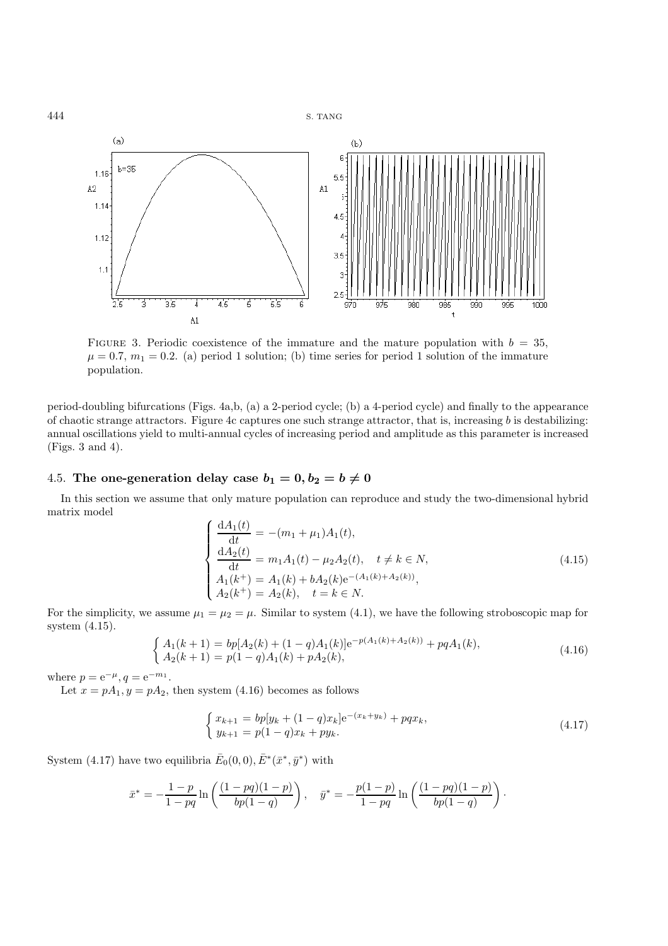

FIGURE 3. Periodic coexistence of the immature and the mature population with  $b = 35$ ,  $\mu = 0.7$ ,  $m_1 = 0.2$ . (a) period 1 solution; (b) time series for period 1 solution of the immature population.

period-doubling bifurcations (Figs. 4a,b, (a) a 2-period cycle; (b) a 4-period cycle) and finally to the appearance of chaotic strange attractors. Figure 4c captures one such strange attractor, that is, increasing b is destabilizing: annual oscillations yield to multi-annual cycles of increasing period and amplitude as this parameter is increased (Figs. 3 and 4).

# 4.5. The one-generation delay case  $b_1 = 0, b_2 = b \neq 0$

In this section we assume that only mature population can reproduce and study the two-dimensional hybrid matrix model

$$
\begin{cases}\n\frac{dA_1(t)}{dt} = -(m_1 + \mu_1)A_1(t), \n\frac{dA_2(t)}{dt} = m_1A_1(t) - \mu_2A_2(t), \quad t \neq k \in N, \nA_1(k^+) = A_1(k) + bA_2(k)e^{-(A_1(k) + A_2(k))}, \nA_2(k^+) = A_2(k), \quad t = k \in N.\n\end{cases}
$$
\n(4.15)

For the simplicity, we assume  $\mu_1 = \mu_2 = \mu$ . Similar to system (4.1), we have the following stroboscopic map for system (4.15) system (4.15).

$$
\begin{cases} A_1(k+1) = bp[A_2(k) + (1-q)A_1(k)]e^{-p(A_1(k) + A_2(k))} + pqA_1(k), \\ A_2(k+1) = p(1-q)A_1(k) + pA_2(k), \end{cases} (4.16)
$$

where  $p = e^{-\mu}, q = e^{-m_1}.$ 

Let  $x = pA_1, y = pA_2$ , then system (4.16) becomes as follows

$$
\begin{cases} x_{k+1} = bp[y_k + (1-q)x_k]e^{-(x_k+y_k)} + pqx_k, \\ y_{k+1} = p(1-q)x_k + py_k. \end{cases} \tag{4.17}
$$

System (4.17) have two equilibria  $\bar{E}_0(0,0), \bar{E}^*(\bar{x}^*, \bar{y}^*)$  with

$$
\bar{x}^* = -\frac{1-p}{1-pq} \ln \left( \frac{(1-pq)(1-p)}{bp(1-q)} \right), \quad \bar{y}^* = -\frac{p(1-p)}{1-pq} \ln \left( \frac{(1-pq)(1-p)}{bp(1-q)} \right).
$$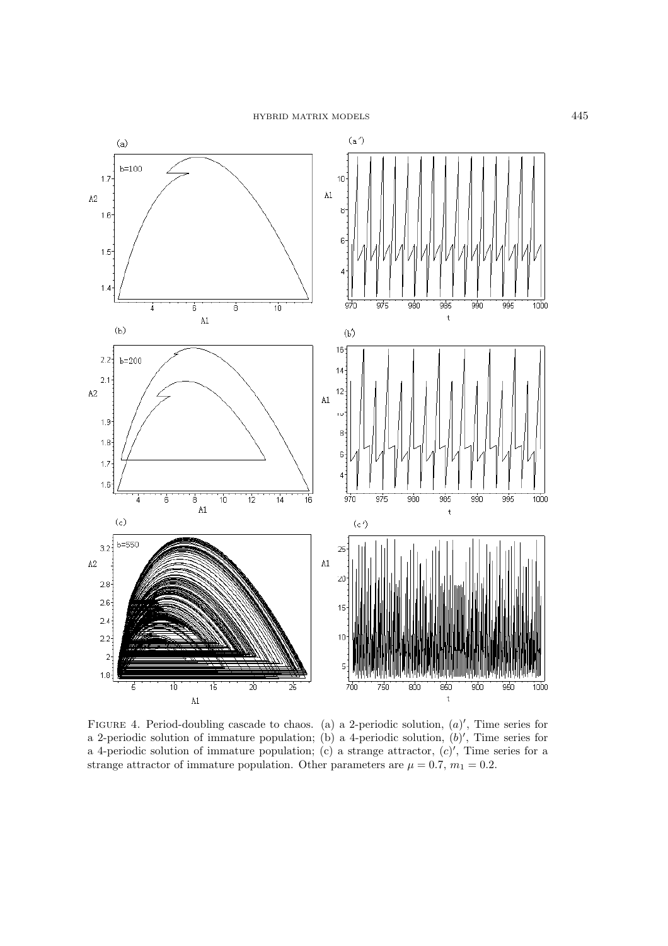HYBRID MATRIX MODELS 445



FIGURE 4. Period-doubling cascade to chaos. (a) a 2-periodic solution,  $(a)$ , Time series for a 2-periodic solution of immature population: (b) a 4-periodic solution  $(b)'$ . Time series for a 2-periodic solution of immature population; (b) a 4-periodic solution,  $(b)$ , Time series for a<br>a 4-periodic solution of immature population; (c) a strange attractor  $(c)$ . Time series for a a 4-periodic solution of immature population; (c) a strange attractor,  $(c)'$ , Time series for a<br>strange attractor of immature population. Other parameters are  $u = 0.7$ ,  $m_t = 0.2$ strange attractor of immature population. Other parameters are  $\mu = 0.7$ ,  $m_1 = 0.2$ .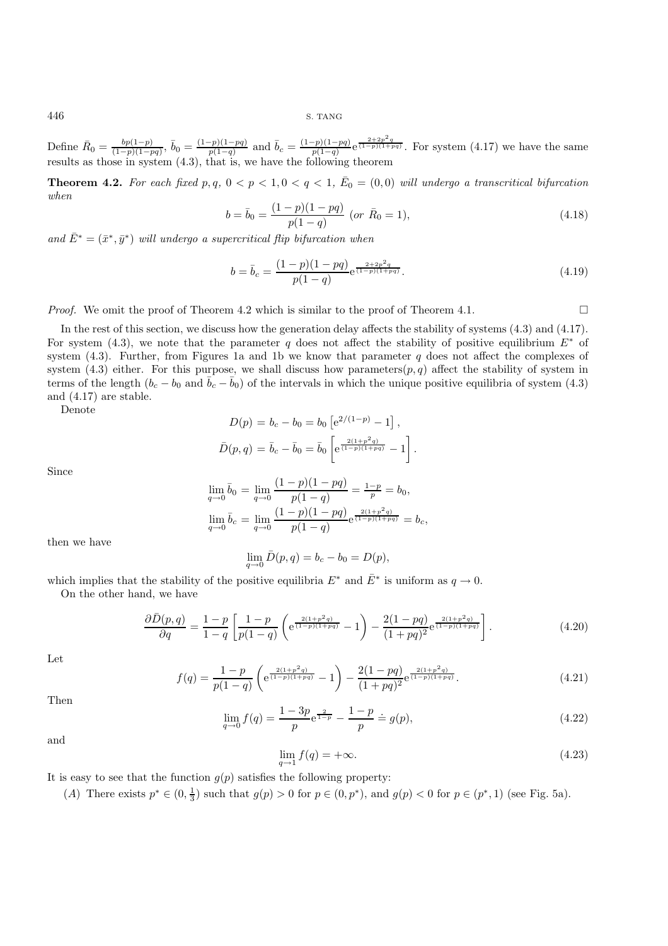Define  $\bar{R}_0 = \frac{bp(1-p)}{(1-p)(1-pq)}$ ,  $\bar{b}_0 = \frac{(1-p)(1-pq)}{p(1-q)}$  and  $\bar{b}_c = \frac{(1-p)(1-pq)}{p(1-q)}e^{\frac{2+2p^2q}{(1-p)(1+pq)}}$ . For system (4.17) we have the same results as those in system (4.3), that is, we have the following theorem

**Theorem 4.2.** For each fixed p, q,  $0 < p < 1, 0 < q < 1$ ,  $\overline{E}_0 = (0, 0)$  will undergo a transcritical bifurcation *when*

$$
b = \bar{b}_0 = \frac{(1-p)(1-pq)}{p(1-q)} \text{ (or } \bar{R}_0 = 1),\tag{4.18}
$$

*and*  $\bar{E}^* = (\bar{x}^*, \bar{y}^*)$  *will undergo a supercritical flip bifurcation when* 

$$
b = \bar{b}_c = \frac{(1-p)(1-pq)}{p(1-q)} e^{\frac{2+2p^2q}{(1-p)(1+pq)}}.
$$
\n(4.19)

*Proof.* We omit the proof of Theorem 4.2 which is similar to the proof of Theorem 4.1.  $\square$ 

In the rest of this section, we discuss how the generation delay affects the stability of systems (4.3) and (4.17). For system (4.3), we note that the parameter q does not affect the stability of positive equilibrium  $E^*$  of system (4.3). Further, from Figures 1a and 1b we know that parameter q does not affect the complexes of system (4.3) either. For this purpose, we shall discuss how parameters $(p, q)$  affect the stability of system in terms of the length  $(b_c - b_0 \text{ and } \bar{b}_c - \bar{b}_0)$  of the intervals in which the unique positive equilibria of system (4.3) and (4.17) are stable.

Denote

$$
D(p) = b_c - b_0 = b_0 \left[ e^{2/(1-p)} - 1 \right],
$$
  

$$
\bar{D}(p,q) = \bar{b}_c - \bar{b}_0 = \bar{b}_0 \left[ e^{\frac{2(1+p^2q)}{(1-p)(1+pq)}} - 1 \right].
$$

Since

$$
\lim_{q \to 0} \bar{b}_0 = \lim_{q \to 0} \frac{(1-p)(1-pq)}{p(1-q)} = \frac{1-p}{p} = b_0,
$$
  

$$
\lim_{q \to 0} \bar{b}_c = \lim_{q \to 0} \frac{(1-p)(1-pq)}{p(1-q)} e^{\frac{2(1+p^2q)}{(1-p)(1+pq)}} = b_c,
$$

then we have

$$
\lim_{q \to 0} \bar{D}(p, q) = b_c - b_0 = D(p),
$$

which implies that the stability of the positive equilibria  $E^*$  and  $\overline{E}^*$  is uniform as  $q \to 0$ .

On the other hand, we have

$$
\frac{\partial \bar{D}(p,q)}{\partial q} = \frac{1-p}{1-q} \left[ \frac{1-p}{p(1-q)} \left( e^{\frac{2(1+p^2q)}{(1-p)(1+pq)}} - 1 \right) - \frac{2(1-pq)}{(1+pq)^2} e^{\frac{2(1+p^2q)}{(1-p)(1+pq)}} \right].
$$
\n(4.20)

Let

$$
f(q) = \frac{1-p}{p(1-q)} \left( e^{\frac{2(1+p^2q)}{(1-p)(1+pq)}} - 1 \right) - \frac{2(1-pq)}{(1+pq)^2} e^{\frac{2(1+p^2q)}{(1-p)(1+pq)}}.
$$
\n(4.21)

Then

$$
\lim_{q \to 0} f(q) = \frac{1 - 3p}{p} e^{\frac{2}{1 - p}} - \frac{1 - p}{p} \doteq g(p),\tag{4.22}
$$

and

$$
\lim_{q \to 1} f(q) = +\infty. \tag{4.23}
$$

It is easy to see that the function  $g(p)$  satisfies the following property:

(A) There exists  $p^* \in (0, \frac{1}{3})$  such that  $g(p) > 0$  for  $p \in (0, p^*)$ , and  $g(p) < 0$  for  $p \in (p^*, 1)$  (see Fig. 5a).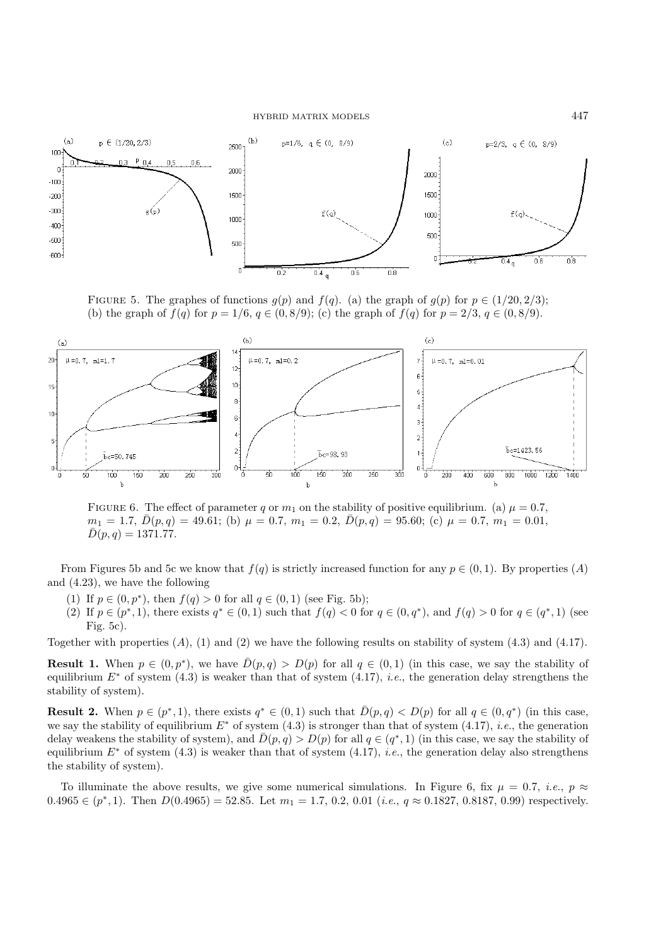

FIGURE 5. The graphes of functions  $g(p)$  and  $f(q)$ . (a) the graph of  $g(p)$  for  $p \in (1/20, 2/3)$ ; (b) the graph of  $f(q)$  for  $p = 1/6, q \in (0, 8/9)$ ; (c) the graph of  $f(q)$  for  $p = 2/3, q \in (0, 8/9)$ .



FIGURE 6. The effect of parameter q or  $m_1$  on the stability of positive equilibrium. (a)  $\mu = 0.7$ ,  $m_1 = 1.7, \, \bar{D}(p,q) = 49.61;$  (b)  $\mu = 0.7, m_1 = 0.2, \, \bar{D}(p,q) = 95.60;$  (c)  $\mu = 0.7, m_1 = 0.01,$  $\bar{D}(p,q) = 1371.77.$ 

From Figures 5b and 5c we know that  $f(q)$  is strictly increased function for any  $p \in (0,1)$ . By properties  $(A)$ and (4.23), we have the following

- (1) If  $p \in (0, p^*)$ , then  $f(q) > 0$  for all  $q \in (0, 1)$  (see Fig. 5b);
- (2) If  $p \in (p^*, 1)$ , there exists  $q^* \in (0, 1)$  such that  $f(q) < 0$  for  $q \in (0, q^*)$ , and  $f(q) > 0$  for  $q \in (q^*, 1)$  (see Fig. 5c).

Together with properties  $(A)$ ,  $(1)$  and  $(2)$  we have the following results on stability of system  $(4.3)$  and  $(4.17)$ .

**Result 1.** When  $p \in (0, p^*)$ , we have  $\overline{D}(p, q) > D(p)$  for all  $q \in (0, 1)$  (in this case, we say the stability of equilibrium  $E^*$  of system (4.3) is weaker than that of system (4.17), *i.e.*, the generation delay strengthens the stability of system).

**Result 2.** When  $p \in (p^*, 1)$ , there exists  $q^* \in (0, 1)$  such that  $\overline{D}(p, q) < D(p)$  for all  $q \in (0, q^*)$  (in this case, we say the stability of equilibrium <sup>E</sup><sup>∗</sup> of system (4.3) is stronger than that of system (4.17), *i.e.*, the generation delay weakens the stability of system), and  $\bar{D}(p,q) > D(p)$  for all  $q \in (q^*, 1)$  (in this case, we say the stability of equilibrium  $E^*$  of system (4.3) is weaker than that of system (4.17), *i.e.*, the generation delay also strengthens the stability of system).

To illuminate the above results, we give some numerical simulations. In Figure 6, fix  $\mu = 0.7$ , *i.e.*,  $p \approx$ 0.4965 ∈ (p<sup>\*</sup>, 1). Then  $D(0.4965) = 52.85$ . Let  $m_1 = 1.7, 0.2, 0.01$  (*i.e.*,  $q \approx 0.1827, 0.8187, 0.99$ ) respectively.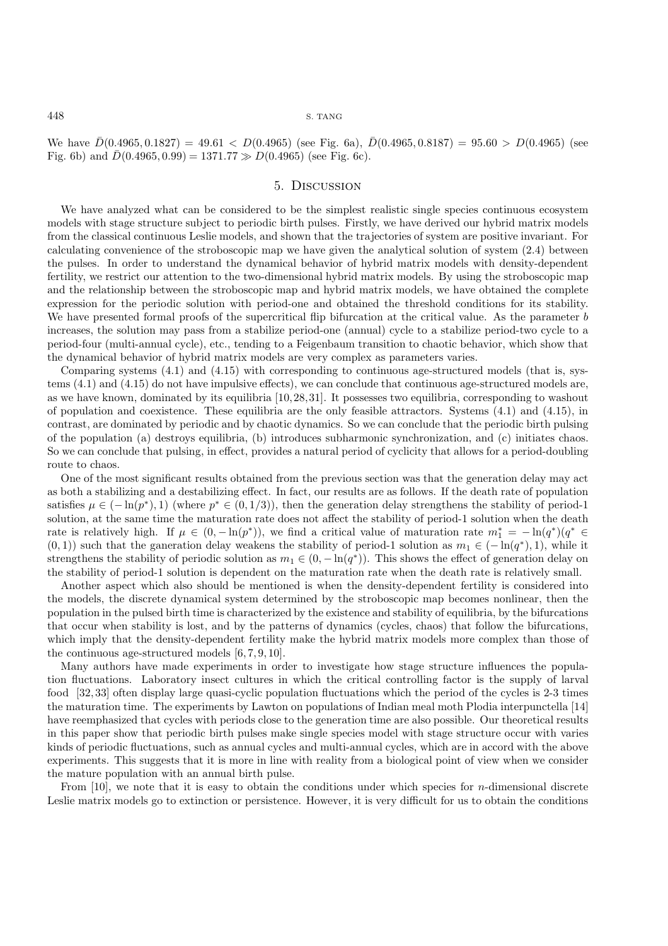We have  $\bar{D}(0.4965, 0.1827) = 49.61 < D(0.4965)$  (see Fig. 6a),  $\bar{D}(0.4965, 0.8187) = 95.60 > D(0.4965)$  (see Fig. 6b) and  $\bar{D}(0.4965, 0.99) = 1371.77 \gg D(0.4965)$  (see Fig. 6c).

## 5. Discussion

We have analyzed what can be considered to be the simplest realistic single species continuous ecosystem models with stage structure subject to periodic birth pulses. Firstly, we have derived our hybrid matrix models from the classical continuous Leslie models, and shown that the trajectories of system are positive invariant. For calculating convenience of the stroboscopic map we have given the analytical solution of system (2.4) between the pulses. In order to understand the dynamical behavior of hybrid matrix models with density-dependent fertility, we restrict our attention to the two-dimensional hybrid matrix models. By using the stroboscopic map and the relationship between the stroboscopic map and hybrid matrix models, we have obtained the complete expression for the periodic solution with period-one and obtained the threshold conditions for its stability. We have presented formal proofs of the supercritical flip bifurcation at the critical value. As the parameter b increases, the solution may pass from a stabilize period-one (annual) cycle to a stabilize period-two cycle to a period-four (multi-annual cycle), etc., tending to a Feigenbaum transition to chaotic behavior, which show that the dynamical behavior of hybrid matrix models are very complex as parameters varies.

Comparing systems (4.1) and (4.15) with corresponding to continuous age-structured models (that is, systems (4.1) and (4.15) do not have impulsive effects), we can conclude that continuous age-structured models are, as we have known, dominated by its equilibria [10,28,31]. It possesses two equilibria, corresponding to washout of population and coexistence. These equilibria are the only feasible attractors. Systems (4.1) and (4.15), in contrast, are dominated by periodic and by chaotic dynamics. So we can conclude that the periodic birth pulsing of the population (a) destroys equilibria, (b) introduces subharmonic synchronization, and (c) initiates chaos. So we can conclude that pulsing, in effect, provides a natural period of cyclicity that allows for a period-doubling route to chaos.

One of the most significant results obtained from the previous section was that the generation delay may act as both a stabilizing and a destabilizing effect. In fact, our results are as follows. If the death rate of population satisfies  $\mu \in (-\ln(p^*), 1)$  (where  $p^* \in (0, 1/3)$ ), then the generation delay strengthens the stability of period-1 solution, at the same time the maturation rate does not affect the stability of period-1 solution when the death rate is relatively high. If  $\mu \in (0, -\ln(p^*))$ , we find a critical value of maturation rate  $m_1^* = -\ln(q^*)(q^* \in (0, 1))$  such that the gaperation delay weakens the stability of period-1 solution as  $m_1 \in (-\ln(q^*), 1)$  while it  $(0, 1)$ ) such that the ganeration delay weakens the stability of period-1 solution as  $m_1 \in (-\ln(q^*), 1)$ , while it strengthens the stability of periodic solution as  $m_1 \in (0, -\ln(q^*))$ . This shows the effect of generation delay on the stability of period-1 solution is dependent on the maturation rate when the death rate is relatively small.

Another aspect which also should be mentioned is when the density-dependent fertility is considered into the models, the discrete dynamical system determined by the stroboscopic map becomes nonlinear, then the population in the pulsed birth time is characterized by the existence and stability of equilibria, by the bifurcations that occur when stability is lost, and by the patterns of dynamics (cycles, chaos) that follow the bifurcations, which imply that the density-dependent fertility make the hybrid matrix models more complex than those of the continuous age-structured models [6, 7, 9, 10].

Many authors have made experiments in order to investigate how stage structure influences the population fluctuations. Laboratory insect cultures in which the critical controlling factor is the supply of larval food [32, 33] often display large quasi-cyclic population fluctuations which the period of the cycles is 2-3 times the maturation time. The experiments by Lawton on populations of Indian meal moth Plodia interpunctella [14] have reemphasized that cycles with periods close to the generation time are also possible. Our theoretical results in this paper show that periodic birth pulses make single species model with stage structure occur with varies kinds of periodic fluctuations, such as annual cycles and multi-annual cycles, which are in accord with the above experiments. This suggests that it is more in line with reality from a biological point of view when we consider the mature population with an annual birth pulse.

From  $[10]$ , we note that it is easy to obtain the conditions under which species for *n*-dimensional discrete Leslie matrix models go to extinction or persistence. However, it is very difficult for us to obtain the conditions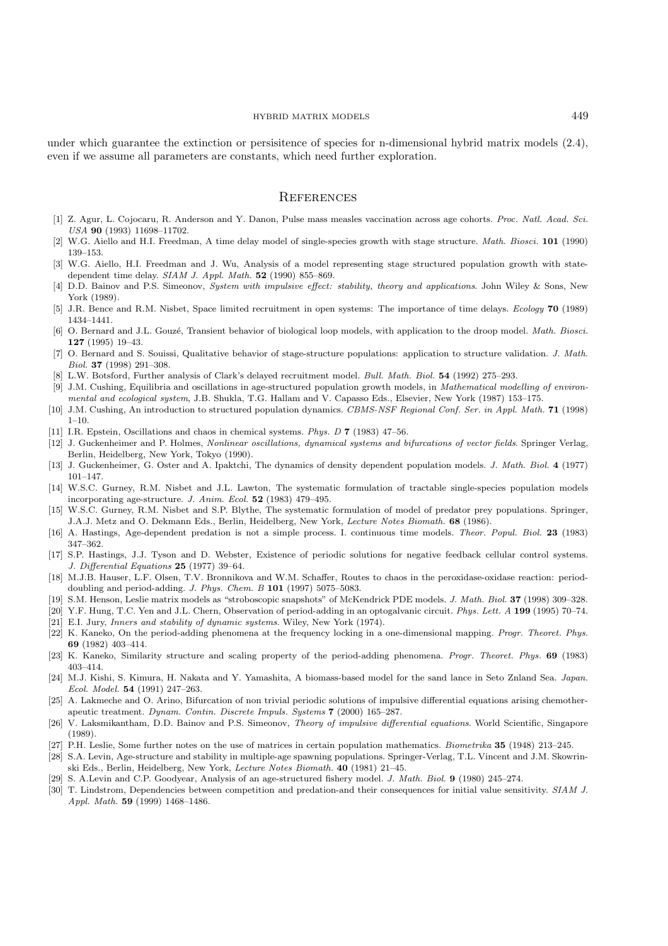#### HYBRID MATRIX MODELS 449

under which guarantee the extinction or persisitence of species for n-dimensional hybrid matrix models (2.4), even if we assume all parameters are constants, which need further exploration.

#### **REFERENCES**

- [1] Z. Agur, L. Cojocaru, R. Anderson and Y. Danon, Pulse mass measles vaccination across age cohorts. Proc. Natl. Acad. Sci. USA **90** (1993) 11698–11702.
- [2] W.G. Aiello and H.I. Freedman, A time delay model of single-species growth with stage structure. Math. Biosci. **101** (1990) 139–153.
- [3] W.G. Aiello, H.I. Freedman and J. Wu, Analysis of a model representing stage structured population growth with statedependent time delay. SIAM J. Appl. Math. **52** (1990) 855–869.
- [4] D.D. Bainov and P.S. Simeonov, System with impulsive effect: stability, theory and applications. John Wiley & Sons, New York (1989).
- [5] J.R. Bence and R.M. Nisbet, Space limited recruitment in open systems: The importance of time delays. Ecology **70** (1989) 1434–1441.
- [6] O. Bernard and J.L. Gouzé, Transient behavior of biological loop models, with application to the droop model. Math. Biosci. **127** (1995) 19–43.
- [7] O. Bernard and S. Souissi, Qualitative behavior of stage-structure populations: application to structure validation. J. Math. Biol. **37** (1998) 291–308.
- [8] L.W. Botsford, Further analysis of Clark's delayed recruitment model. Bull. Math. Biol. **54** (1992) 275–293.
- [9] J.M. Cushing, Equilibria and oscillations in age-structured population growth models, in Mathematical modelling of environmental and ecological system, J.B. Shukla, T.G. Hallam and V. Capasso Eds., Elsevier, New York (1987) 153–175.
- [10] J.M. Cushing, An introduction to structured population dynamics. CBMS-NSF Regional Conf. Ser. in Appl. Math. **71** (1998)  $1 - 10$
- [11] I.R. Epstein, Oscillations and chaos in chemical systems. Phys. D **7** (1983) 47–56.
- [12] J. Guckenheimer and P. Holmes, Nonlinear oscillations, dynamical systems and bifurcations of vector fields. Springer Verlag, Berlin, Heidelberg, New York, Tokyo (1990).
- [13] J. Guckenheimer, G. Oster and A. Ipaktchi, The dynamics of density dependent population models. J. Math. Biol. **4** (1977) 101–147.
- [14] W.S.C. Gurney, R.M. Nisbet and J.L. Lawton, The systematic formulation of tractable single-species population models incorporating age-structure. J. Anim. Ecol. **52** (1983) 479–495.
- [15] W.S.C. Gurney, R.M. Nisbet and S.P. Blythe, The systematic formulation of model of predator prey populations. Springer, J.A.J. Metz and O. Dekmann Eds., Berlin, Heidelberg, New York, Lecture Notes Biomath. **68** (1986).
- [16] A. Hastings, Age-dependent predation is not a simple process. I. continuous time models. Theor. Popul. Biol. **23** (1983) 347–362.
- [17] S.P. Hastings, J.J. Tyson and D. Webster, Existence of periodic solutions for negative feedback cellular control systems. J. Differential Equations **25** (1977) 39–64.
- [18] M.J.B. Hauser, L.F. Olsen, T.V. Bronnikova and W.M. Schaffer, Routes to chaos in the peroxidase-oxidase reaction: perioddoubling and period-adding. J. Phys. Chem. B **101** (1997) 5075–5083.
- [19] S.M. Henson, Leslie matrix models as "stroboscopic snapshots" of McKendrick PDE models. J. Math. Biol. **37** (1998) 309–328.
- [20] Y.F. Hung, T.C. Yen and J.L. Chern, Observation of period-adding in an optogalvanic circuit. Phys. Lett. A **199** (1995) 70–74.
- [21] E.I. Jury, Inners and stability of dynamic systems. Wiley, New York (1974).
- [22] K. Kaneko, On the period-adding phenomena at the frequency locking in a one-dimensional mapping. Progr. Theoret. Phys. **69** (1982) 403–414.
- [23] K. Kaneko, Similarity structure and scaling property of the period-adding phenomena. Progr. Theoret. Phys. **69** (1983) 403–414.
- [24] M.J. Kishi, S. Kimura, H. Nakata and Y. Yamashita, A biomass-based model for the sand lance in Seto Znland Sea. Japan. Ecol. Model. **54** (1991) 247–263.
- [25] A. Lakmeche and O. Arino, Bifurcation of non trivial periodic solutions of impulsive differential equations arising chemotherapeutic treatment. Dynam. Contin. Discrete Impuls. Systems **7** (2000) 165–287.
- [26] V. Laksmikantham, D.D. Bainov and P.S. Simeonov, Theory of impulsive differential equations. World Scientific, Singapore (1989).
- [27] P.H. Leslie, Some further notes on the use of matrices in certain population mathematics. Biometrika **35** (1948) 213–245.
- [28] S.A. Levin, Age-structure and stability in multiple-age spawning populations. Springer-Verlag, T.L. Vincent and J.M. Skowrinski Eds., Berlin, Heidelberg, New York, Lecture Notes Biomath. **40** (1981) 21–45.
- [29] S. A.Levin and C.P. Goodyear, Analysis of an age-structured fishery model. J. Math. Biol. **9** (1980) 245–274.
- [30] T. Lindstrom, Dependencies between competition and predation-and their consequences for initial value sensitivity. SIAM J. Appl. Math. **59** (1999) 1468–1486.